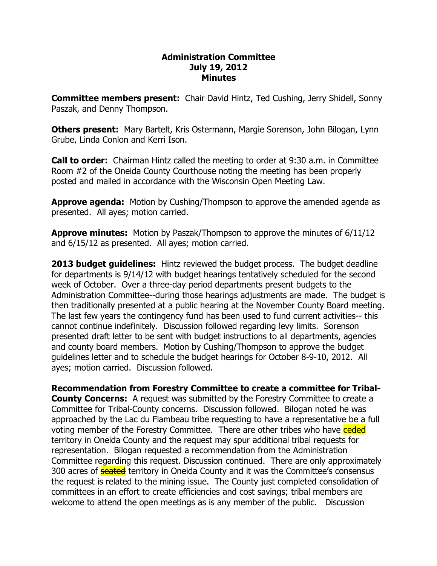## **Administration Committee July 19, 2012 Minutes**

**Committee members present:**  Chair David Hintz, Ted Cushing, Jerry Shidell, Sonny Paszak, and Denny Thompson.

**Others present:**  Mary Bartelt, Kris Ostermann, Margie Sorenson, John Bilogan, Lynn Grube, Linda Conlon and Kerri Ison.

**Call to order:** Chairman Hintz called the meeting to order at 9:30 a.m. in Committee Room #2 of the Oneida County Courthouse noting the meeting has been properly posted and mailed in accordance with the Wisconsin Open Meeting Law.

**Approve agenda:**  Motion by Cushing/Thompson to approve the amended agenda as presented. All ayes; motion carried.

**Approve minutes:**  Motion by Paszak/Thompson to approve the minutes of 6/11/12 and 6/15/12 as presented. All ayes; motion carried.

**2013 budget guidelines:**  Hintz reviewed the budget process. The budget deadline for departments is 9/14/12 with budget hearings tentatively scheduled for the second week of October. Over a three-day period departments present budgets to the Administration Committee--during those hearings adjustments are made. The budget is then traditionally presented at a public hearing at the November County Board meeting. The last few years the contingency fund has been used to fund current activities-- this cannot continue indefinitely. Discussion followed regarding levy limits. Sorenson presented draft letter to be sent with budget instructions to all departments, agencies and county board members. Motion by Cushing/Thompson to approve the budget guidelines letter and to schedule the budget hearings for October 8-9-10, 2012. All ayes; motion carried. Discussion followed.

**Recommendation from Forestry Committee to create a committee for Tribal County Concerns:** A request was submitted by the Forestry Committee to create a Committee for Tribal-County concerns. Discussion followed. Bilogan noted he was approached by the Lac du Flambeau tribe requesting to have a representative be a full voting member of the Forestry Committee. There are other tribes who have ceded territory in Oneida County and the request may spur additional tribal requests for representation. Bilogan requested a recommendation from the Administration Committee regarding this request. Discussion continued. There are only approximately 300 acres of **seated** territory in Oneida County and it was the Committee's consensus the request is related to the mining issue. The County just completed consolidation of committees in an effort to create efficiencies and cost savings; tribal members are welcome to attend the open meetings as is any member of the public. Discussion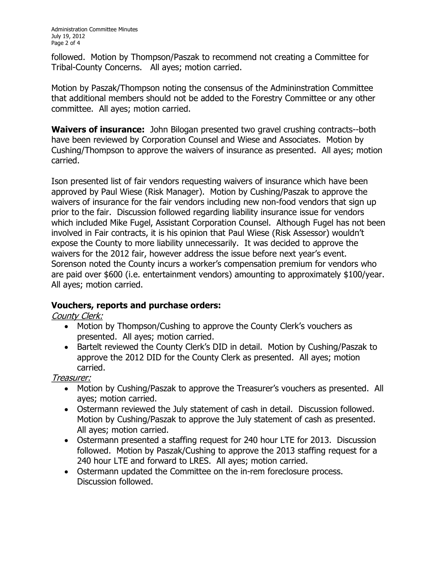followed. Motion by Thompson/Paszak to recommend not creating a Committee for Tribal-County Concerns. All ayes; motion carried.

Motion by Paszak/Thompson noting the consensus of the Admininstration Committee that additional members should not be added to the Forestry Committee or any other committee. All ayes; motion carried.

**Waivers of insurance:** John Bilogan presented two gravel crushing contracts--both have been reviewed by Corporation Counsel and Wiese and Associates. Motion by Cushing/Thompson to approve the waivers of insurance as presented. All ayes; motion carried.

Ison presented list of fair vendors requesting waivers of insurance which have been approved by Paul Wiese (Risk Manager). Motion by Cushing/Paszak to approve the waivers of insurance for the fair vendors including new non-food vendors that sign up prior to the fair. Discussion followed regarding liability insurance issue for vendors which included Mike Fugel, Assistant Corporation Counsel. Although Fugel has not been involved in Fair contracts, it is his opinion that Paul Wiese (Risk Assessor) wouldn't expose the County to more liability unnecessarily. It was decided to approve the waivers for the 2012 fair, however address the issue before next year's event. Sorenson noted the County incurs a worker's compensation premium for vendors who are paid over \$600 (i.e. entertainment vendors) amounting to approximately \$100/year. All ayes; motion carried.

## **Vouchers, reports and purchase orders:**

County Clerk:

- · Motion by Thompson/Cushing to approve the County Clerk's vouchers as presented. All ayes; motion carried.
- · Bartelt reviewed the County Clerk's DID in detail. Motion by Cushing/Paszak to approve the 2012 DID for the County Clerk as presented. All ayes; motion carried.

Treasurer:

- · Motion by Cushing/Paszak to approve the Treasurer's vouchers as presented. All ayes; motion carried.
- · Ostermann reviewed the July statement of cash in detail. Discussion followed. Motion by Cushing/Paszak to approve the July statement of cash as presented. All ayes; motion carried.
- · Ostermann presented a staffing request for 240 hour LTE for 2013. Discussion followed. Motion by Paszak/Cushing to approve the 2013 staffing request for a 240 hour LTE and forward to LRES. All ayes; motion carried.
- Ostermann updated the Committee on the in-rem foreclosure process. Discussion followed.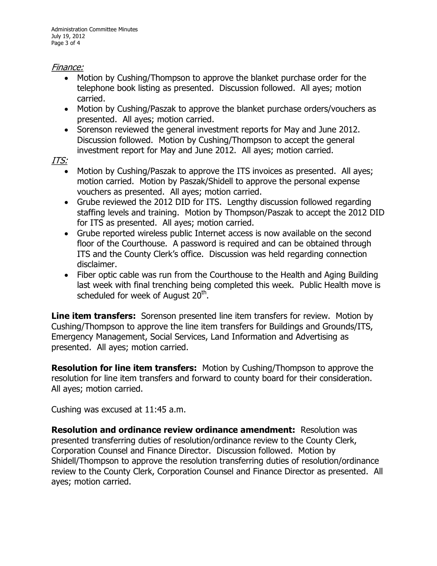## Finance:

- · Motion by Cushing/Thompson to approve the blanket purchase order for the telephone book listing as presented. Discussion followed. All ayes; motion carried.
- Motion by Cushing/Paszak to approve the blanket purchase orders/vouchers as presented. All ayes; motion carried.
- · Sorenson reviewed the general investment reports for May and June 2012. Discussion followed. Motion by Cushing/Thompson to accept the general investment report for May and June 2012. All ayes; motion carried.

ITS:

- Motion by Cushing/Paszak to approve the ITS invoices as presented. All ayes; motion carried. Motion by Paszak/Shidell to approve the personal expense vouchers as presented. All ayes; motion carried.
- · Grube reviewed the 2012 DID for ITS. Lengthy discussion followed regarding staffing levels and training. Motion by Thompson/Paszak to accept the 2012 DID for ITS as presented. All ayes; motion carried.
- · Grube reported wireless public Internet access is now available on the second floor of the Courthouse. A password is required and can be obtained through ITS and the County Clerk's office. Discussion was held regarding connection disclaimer.
- · Fiber optic cable was run from the Courthouse to the Health and Aging Building last week with final trenching being completed this week. Public Health move is scheduled for week of August 20<sup>th</sup>.

**Line item transfers:**  Sorenson presented line item transfers for review. Motion by Cushing/Thompson to approve the line item transfers for Buildings and Grounds/ITS, Emergency Management, Social Services, Land Information and Advertising as presented. All ayes; motion carried.

**Resolution for line item transfers:**  Motion by Cushing/Thompson to approve the resolution for line item transfers and forward to county board for their consideration. All ayes; motion carried.

Cushing was excused at 11:45 a.m.

**Resolution and ordinance review ordinance amendment:**  Resolution was presented transferring duties of resolution/ordinance review to the County Clerk, Corporation Counsel and Finance Director. Discussion followed. Motion by Shidell/Thompson to approve the resolution transferring duties of resolution/ordinance review to the County Clerk, Corporation Counsel and Finance Director as presented. All ayes; motion carried.